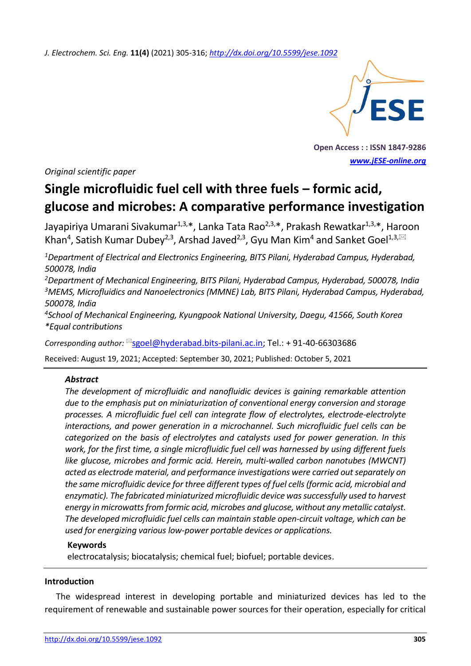*J. Electrochem. Sci. Eng.* **11(4)** (2021) 305-316; *<http://dx.doi.org/10.5599/jese.1092>*



**Open Access : : ISSN 1847-9286** *[www.jESE-online.org](http://www.jese-online.org/)*

*Original scientific paper*

# **Single microfluidic fuel cell with three fuels – formic acid, glucose and microbes: A comparative performance investigation**

Jayapiriya Umarani Sivakumar<sup>1,3,\*</sup>, Lanka Tata Rao<sup>2,3,\*</sup>, Prakash Rewatkar<sup>1,3,\*</sup>, Haroon Khan<sup>4</sup>, Satish Kumar Dubey<sup>2,3</sup>, Arshad Javed<sup>2,3</sup>, Gyu Man Kim<sup>4</sup> and Sanket Goel<sup>1,3, $\boxtimes$ </sup>

*<sup>1</sup>Department of Electrical and Electronics Engineering, BITS Pilani, Hyderabad Campus, Hyderabad, 500078, India*

*<sup>2</sup>Department of Mechanical Engineering, BITS Pilani, Hyderabad Campus, Hyderabad, 500078, India <sup>3</sup>MEMS, Microfluidics and Nanoelectronics (MMNE) Lab, BITS Pilani, Hyderabad Campus, Hyderabad, 500078, India*

*<sup>4</sup>School of Mechanical Engineering, Kyungpook National University, Daegu, 41566, South Korea \*Equal contributions*

Corresponding author: <sup>⊠</sup>[sgoel@hyderabad.bits-pilani.ac.in;](mailto:sgoel@hyderabad.bits-pilani.ac.in) Tel.: +91-40-66303686

Received: August 19, 2021; Accepted: September 30, 2021; Published: October 5, 2021

## *Abstract*

*The development of microfluidic and nanofluidic devices is gaining remarkable attention due to the emphasis put on miniaturization of conventional energy conversion and storage processes. A microfluidic fuel cell can integrate flow of electrolytes, electrode-electrolyte interactions, and power generation in a microchannel. Such microfluidic fuel cells can be categorized on the basis of electrolytes and catalysts used for power generation. In this work, for the first time, a single microfluidic fuel cell was harnessed by using different fuels like glucose, microbes and formic acid. Herein, multi-walled carbon nanotubes (MWCNT) acted as electrode material, and performance investigations were carried out separately on the same microfluidic device for three different types of fuel cells (formic acid, microbial and enzymatic). The fabricated miniaturized microfluidic device was successfully used to harvest energy in microwatts from formic acid, microbes and glucose, without any metallic catalyst. The developed microfluidic fuel cells can maintain stable open-circuit voltage, which can be used for energizing various low-power portable devices or applications.*

## **Keywords**

electrocatalysis; biocatalysis; chemical fuel; biofuel; portable devices.

## **Introduction**

The widespread interest in developing portable and miniaturized devices has led to the requirement of renewable and sustainable power sources for their operation, especially for critical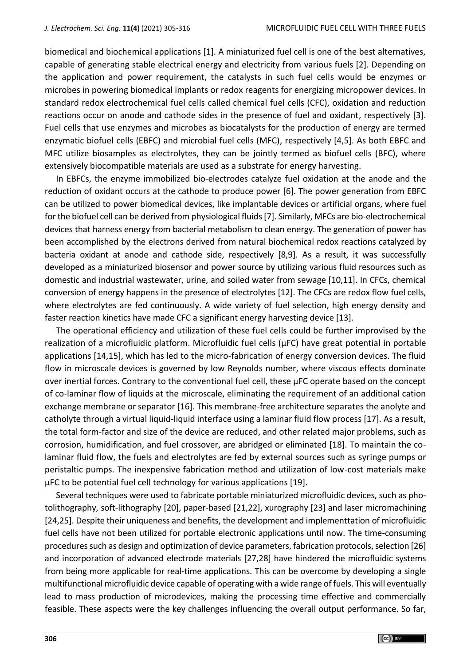biomedical and biochemical applications [1]. A miniaturized fuel cell is one of the best alternatives, capable of generating stable electrical energy and electricity from various fuels [2]. Depending on the application and power requirement, the catalysts in such fuel cells would be enzymes or microbes in powering biomedical implants or redox reagents for energizing micropower devices. In standard redox electrochemical fuel cells called chemical fuel cells (CFC), oxidation and reduction reactions occur on anode and cathode sides in the presence of fuel and oxidant, respectively [3]. Fuel cells that use enzymes and microbes as biocatalysts for the production of energy are termed enzymatic biofuel cells (EBFC) and microbial fuel cells (MFC), respectively [4,5]. As both EBFC and MFC utilize biosamples as electrolytes, they can be jointly termed as biofuel cells (BFC), where extensively biocompatible materials are used as a substrate for energy harvesting.

In EBFCs, the enzyme immobilized bio-electrodes catalyze fuel oxidation at the anode and the reduction of oxidant occurs at the cathode to produce power [6]. The power generation from EBFC can be utilized to power biomedical devices, like implantable devices or artificial organs, where fuel for the biofuel cell can be derived from physiological fluids [7]. Similarly, MFCs are bio-electrochemical devices that harness energy from bacterial metabolism to clean energy. The generation of power has been accomplished by the electrons derived from natural biochemical redox reactions catalyzed by bacteria oxidant at anode and cathode side, respectively [8,9]. As a result, it was successfully developed as a miniaturized biosensor and power source by utilizing various fluid resources such as domestic and industrial wastewater, urine, and soiled water from sewage [10,11]. In CFCs, chemical conversion of energy happens in the presence of electrolytes [12]. The CFCs are redox flow fuel cells, where electrolytes are fed continuously. A wide variety of fuel selection, high energy density and faster reaction kinetics have made CFC a significant energy harvesting device [13].

The operational efficiency and utilization of these fuel cells could be further improvised by the realization of a microfluidic platform. Microfluidic fuel cells ( $\mu$ FC) have great potential in portable applications [14,15], which has led to the micro-fabrication of energy conversion devices. The fluid flow in microscale devices is governed by low Reynolds number, where viscous effects dominate over inertial forces. Contrary to the conventional fuel cell, these µFC operate based on the concept of co-laminar flow of liquids at the microscale, eliminating the requirement of an additional cation exchange membrane or separator [16]. This membrane-free architecture separates the anolyte and catholyte through a virtual liquid-liquid interface using a laminar fluid flow process [17]. As a result, the total form-factor and size of the device are reduced, and other related major problems, such as corrosion, humidification, and fuel crossover, are abridged or eliminated [18]. To maintain the colaminar fluid flow, the fuels and electrolytes are fed by external sources such as syringe pumps or peristaltic pumps. The inexpensive fabrication method and utilization of low-cost materials make µFC to be potential fuel cell technology for various applications [19].

Several techniques were used to fabricate portable miniaturized microfluidic devices, such as photolithography, soft-lithography [20], paper-based [21,22], xurography [23] and laser micromachining [24,25]. Despite their uniqueness and benefits, the development and implementtation of microfluidic fuel cells have not been utilized for portable electronic applications until now. The time-consuming procedures such as design and optimization of device parameters, fabrication protocols, selection [26] and incorporation of advanced electrode materials [27,28] have hindered the microfluidic systems from being more applicable for real-time applications. This can be overcome by developing a single multifunctional microfluidic device capable of operating with a wide range of fuels. This will eventually lead to mass production of microdevices, making the processing time effective and commercially feasible. These aspects were the key challenges influencing the overall output performance. So far,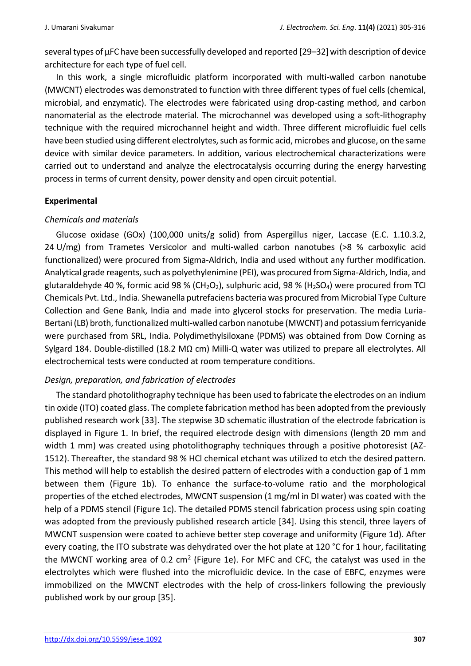several types of μFC have been successfully developed and reported [29–32] with description of device architecture for each type of fuel cell.

In this work, a single microfluidic platform incorporated with multi-walled carbon nanotube (MWCNT) electrodes was demonstrated to function with three different types of fuel cells (chemical, microbial, and enzymatic). The electrodes were fabricated using drop-casting method, and carbon nanomaterial as the electrode material. The microchannel was developed using a soft-lithography technique with the required microchannel height and width. Three different microfluidic fuel cells have been studied using different electrolytes, such as formic acid, microbes and glucose, on the same device with similar device parameters. In addition, various electrochemical characterizations were carried out to understand and analyze the electrocatalysis occurring during the energy harvesting process in terms of current density, power density and open circuit potential.

## **Experimental**

## *Chemicals and materials*

Glucose oxidase (GOx) (100,000 units/g solid) from Aspergillus niger, Laccase (E.C. 1.10.3.2, 24 U/mg) from Trametes Versicolor and multi-walled carbon nanotubes (>8 % carboxylic acid functionalized) were procured from Sigma-Aldrich, India and used without any further modification. Analytical grade reagents, such as polyethylenimine (PEI), was procured from Sigma-Aldrich, India, and glutaraldehyde 40 %, formic acid 98 % (CH<sub>2</sub>O<sub>2</sub>), sulphuric acid, 98 % (H<sub>2</sub>SO<sub>4</sub>) were procured from TCI Chemicals Pvt. Ltd., India. Shewanella putrefaciens bacteria was procured from Microbial Type Culture Collection and Gene Bank, India and made into glycerol stocks for preservation. The media Luria-Bertani (LB) broth, functionalized multi-walled carbon nanotube (MWCNT) and potassium ferricyanide were purchased from SRL, India. Polydimethylsiloxane (PDMS) was obtained from Dow Corning as Sylgard 184. Double-distilled (18.2 MΩ cm) Milli-Q water was utilized to prepare all electrolytes. All electrochemical tests were conducted at room temperature conditions.

# *Design, preparation, and fabrication of electrodes*

The standard photolithography technique has been used to fabricate the electrodes on an indium tin oxide (ITO) coated glass. The complete fabrication method has been adopted from the previously published research work [33]. The stepwise 3D schematic illustration of the electrode fabrication is displayed in Figure 1. In brief, the required electrode design with dimensions (length 20 mm and width 1 mm) was created using photolithography techniques through a positive photoresist (AZ-1512). Thereafter, the standard 98 % HCl chemical etchant was utilized to etch the desired pattern. This method will help to establish the desired pattern of electrodes with a conduction gap of 1 mm between them (Figure 1b). To enhance the surface-to-volume ratio and the morphological properties of the etched electrodes, MWCNT suspension (1 mg/ml in DI water) was coated with the help of a PDMS stencil (Figure 1c). The detailed PDMS stencil fabrication process using spin coating was adopted from the previously published research article [34]. Using this stencil, three layers of MWCNT suspension were coated to achieve better step coverage and uniformity (Figure 1d). After every coating, the ITO substrate was dehydrated over the hot plate at 120 °C for 1 hour, facilitating the MWCNT working area of 0.2 cm<sup>2</sup> (Figure 1e). For MFC and CFC, the catalyst was used in the electrolytes which were flushed into the microfluidic device. In the case of EBFC, enzymes were immobilized on the MWCNT electrodes with the help of cross-linkers following the previously published work by our group [35].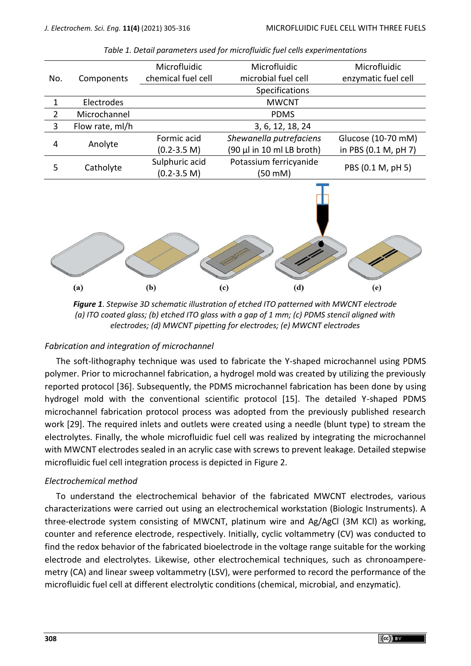| Microfluidic<br>Microfluidic<br>chemical fuel cell<br>microbial fuel cell<br>Components<br>No.<br>Specifications<br>Electrodes<br><b>MWCNT</b><br>$\mathbf{1}$<br>$\overline{2}$<br>Microchannel<br><b>PDMS</b><br>3<br>Flow rate, ml/h<br>3, 6, 12, 18, 24<br>Formic acid<br>Shewanella putrefaciens<br>4<br>Anolyte<br>$(90 \mu l$ in 10 ml LB broth)<br>$(0.2 - 3.5)$ M)<br>Sulphuric acid<br>Potassium ferricyanide<br>PBS (0.1 M, pH 5)<br>5<br>Catholyte<br>$(0.2 - 3.5)$ M)<br>(50 mM) |  |  |                      |
|-----------------------------------------------------------------------------------------------------------------------------------------------------------------------------------------------------------------------------------------------------------------------------------------------------------------------------------------------------------------------------------------------------------------------------------------------------------------------------------------------|--|--|----------------------|
|                                                                                                                                                                                                                                                                                                                                                                                                                                                                                               |  |  | Microfluidic         |
|                                                                                                                                                                                                                                                                                                                                                                                                                                                                                               |  |  | enzymatic fuel cell  |
|                                                                                                                                                                                                                                                                                                                                                                                                                                                                                               |  |  |                      |
|                                                                                                                                                                                                                                                                                                                                                                                                                                                                                               |  |  |                      |
|                                                                                                                                                                                                                                                                                                                                                                                                                                                                                               |  |  |                      |
|                                                                                                                                                                                                                                                                                                                                                                                                                                                                                               |  |  |                      |
|                                                                                                                                                                                                                                                                                                                                                                                                                                                                                               |  |  | Glucose (10-70 mM)   |
|                                                                                                                                                                                                                                                                                                                                                                                                                                                                                               |  |  | in PBS (0.1 M, pH 7) |
|                                                                                                                                                                                                                                                                                                                                                                                                                                                                                               |  |  |                      |
|                                                                                                                                                                                                                                                                                                                                                                                                                                                                                               |  |  |                      |
| (d)<br>(a)<br>(b)<br>(c)<br>(e)                                                                                                                                                                                                                                                                                                                                                                                                                                                               |  |  |                      |

*Table 1. Detail parameters used for microfluidic fuel cells experimentations*

*Figure 1. Stepwise 3D schematic illustration of etched ITO patterned with MWCNT electrode (a) ITO coated glass; (b) etched ITO glass with a gap of 1 mm; (c) PDMS stencil aligned with electrodes; (d) MWCNT pipetting for electrodes; (e) MWCNT electrodes*

## *Fabrication and integration of microchannel*

The soft-lithography technique was used to fabricate the Y-shaped microchannel using PDMS polymer. Prior to microchannel fabrication, a hydrogel mold was created by utilizing the previously reported protocol [36]. Subsequently, the PDMS microchannel fabrication has been done by using hydrogel mold with the conventional scientific protocol [15]. The detailed Y-shaped PDMS microchannel fabrication protocol process was adopted from the previously published research work [29]. The required inlets and outlets were created using a needle (blunt type) to stream the electrolytes. Finally, the whole microfluidic fuel cell was realized by integrating the microchannel with MWCNT electrodes sealed in an acrylic case with screws to prevent leakage. Detailed stepwise microfluidic fuel cell integration process is depicted in Figure 2.

# *Electrochemical method*

To understand the electrochemical behavior of the fabricated MWCNT electrodes, various characterizations were carried out using an electrochemical workstation (Biologic Instruments). A three-electrode system consisting of MWCNT, platinum wire and Ag/AgCl (3M KCl) as working, counter and reference electrode, respectively. Initially, cyclic voltammetry (CV) was conducted to find the redox behavior of the fabricated bioelectrode in the voltage range suitable for the working electrode and electrolytes. Likewise, other electrochemical techniques, such as chronoamperemetry (CA) and linear sweep voltammetry (LSV), were performed to record the performance of the microfluidic fuel cell at different electrolytic conditions (chemical, microbial, and enzymatic).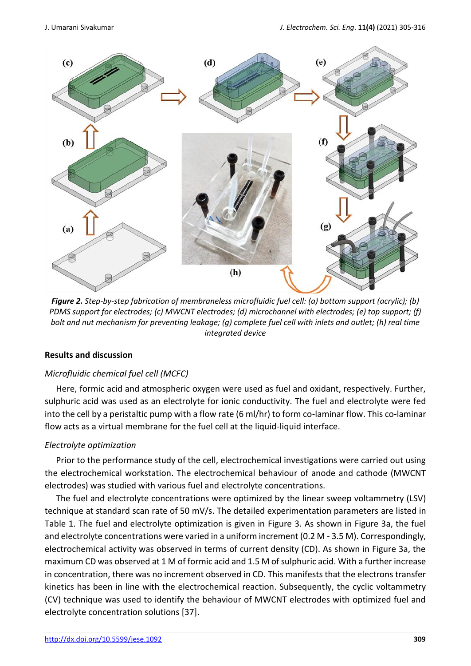

*Figure 2. Step-by-step fabrication of membraneless microfluidic fuel cell: (a) bottom support (acrylic); (b) PDMS support for electrodes; (c) MWCNT electrodes; (d) microchannel with electrodes; (e) top support; (f) bolt and nut mechanism for preventing leakage; (g) complete fuel cell with inlets and outlet; (h) real time integrated device*

# **Results and discussion**

# *Microfluidic chemical fuel cell (MCFC)*

Here, formic acid and atmospheric oxygen were used as fuel and oxidant, respectively. Further, sulphuric acid was used as an electrolyte for ionic conductivity. The fuel and electrolyte were fed into the cell by a peristaltic pump with a flow rate (6 ml/hr) to form co-laminar flow. This co-laminar flow acts as a virtual membrane for the fuel cell at the liquid-liquid interface.

# *Electrolyte optimization*

Prior to the performance study of the cell, electrochemical investigations were carried out using the electrochemical workstation. The electrochemical behaviour of anode and cathode (MWCNT electrodes) was studied with various fuel and electrolyte concentrations.

The fuel and electrolyte concentrations were optimized by the linear sweep voltammetry (LSV) technique at standard scan rate of 50 mV/s. The detailed experimentation parameters are listed in Table 1. The fuel and electrolyte optimization is given in Figure 3. As shown in Figure 3a, the fuel and electrolyte concentrations were varied in a uniform increment (0.2 M - 3.5 M). Correspondingly, electrochemical activity was observed in terms of current density (CD). As shown in Figure 3a, the maximum CD was observed at 1 M of formic acid and 1.5 M of sulphuric acid. With a further increase in concentration, there was no increment observed in CD. This manifests that the electrons transfer kinetics has been in line with the electrochemical reaction. Subsequently, the cyclic voltammetry (CV) technique was used to identify the behaviour of MWCNT electrodes with optimized fuel and electrolyte concentration solutions [37].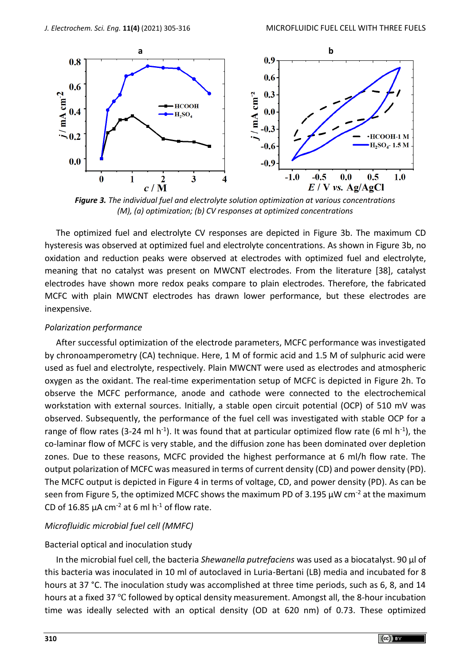

*Figure 3. The individual fuel and electrolyte solution optimization at various concentrations (M), (a) optimization; (b) CV responses at optimized concentrations*

The optimized fuel and electrolyte CV responses are depicted in Figure 3b. The maximum CD hysteresis was observed at optimized fuel and electrolyte concentrations. As shown in Figure 3b, no oxidation and reduction peaks were observed at electrodes with optimized fuel and electrolyte, meaning that no catalyst was present on MWCNT electrodes. From the literature [38], catalyst electrodes have shown more redox peaks compare to plain electrodes. Therefore, the fabricated MCFC with plain MWCNT electrodes has drawn lower performance, but these electrodes are inexpensive.

## *Polarization performance*

After successful optimization of the electrode parameters, MCFC performance was investigated by chronoamperometry (CA) technique. Here, 1 M of formic acid and 1.5 M of sulphuric acid were used as fuel and electrolyte, respectively. Plain MWCNT were used as electrodes and atmospheric oxygen as the oxidant. The real-time experimentation setup of MCFC is depicted in Figure 2h. To observe the MCFC performance, anode and cathode were connected to the electrochemical workstation with external sources. Initially, a stable open circuit potential (OCP) of 510 mV was observed. Subsequently, the performance of the fuel cell was investigated with stable OCP for a range of flow rates (3-24 ml h<sup>-1</sup>). It was found that at particular optimized flow rate (6 ml h<sup>-1</sup>), the co-laminar flow of MCFC is very stable, and the diffusion zone has been dominated over depletion zones. Due to these reasons, MCFC provided the highest performance at 6 ml/h flow rate. The output polarization of MCFC was measured in terms of current density (CD) and power density (PD). The MCFC output is depicted in Figure 4 in terms of voltage, CD, and power density (PD). As can be seen from Figure 5, the optimized MCFC shows the maximum PD of 3.195  $\mu$ W cm<sup>-2</sup> at the maximum CD of 16.85  $\mu$ A cm<sup>-2</sup> at 6 ml h<sup>-1</sup> of flow rate.

## *Microfluidic microbial fuel cell (MMFC)*

## Bacterial optical and inoculation study

In the microbial fuel cell, the bacteria *Shewanella putrefaciens* was used as a biocatalyst. 90 µl of this bacteria was inoculated in 10 ml of autoclaved in Luria-Bertani (LB) media and incubated for 8 hours at 37 °C. The inoculation study was accomplished at three time periods, such as 6, 8, and 14 hours at a fixed 37 ℃ followed by optical density measurement. Amongst all, the 8-hour incubation time was ideally selected with an optical density (OD at 620 nm) of 0.73. These optimized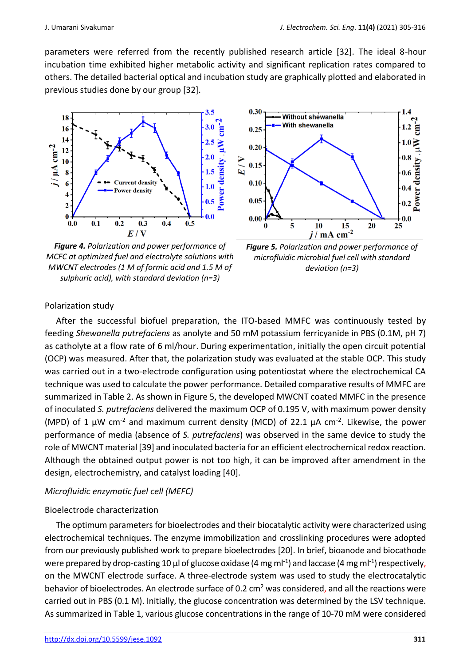parameters were referred from the recently published research article [32]. The ideal 8-hour incubation time exhibited higher metabolic activity and significant replication rates compared to others. The detailed bacterial optical and incubation study are graphically plotted and elaborated in previous studies done by our group [32].



*Figure 4. Polarization and power performance of MCFC at optimized fuel and electrolyte solutions with MWCNT electrodes (1 M of formic acid and 1.5 M of sulphuric acid), with standard deviation (n=3)*



*Figure 5. Polarization and power performance of microfluidic microbial fuel cell with standard deviation (n=3)*

## Polarization study

After the successful biofuel preparation, the ITO-based MMFC was continuously tested by feeding *Shewanella putrefaciens* as anolyte and 50 mM potassium ferricyanide in PBS (0.1M, pH 7) as catholyte at a flow rate of 6 ml/hour. During experimentation, initially the open circuit potential (OCP) was measured. After that, the polarization study was evaluated at the stable OCP. This study was carried out in a two-electrode configuration using potentiostat where the electrochemical CA technique was used to calculate the power performance. Detailed comparative results of MMFC are summarized in Table 2. As shown in Figure 5, the developed MWCNT coated MMFC in the presence of inoculated *S. putrefaciens* delivered the maximum OCP of 0.195 V, with maximum power density (MPD) of 1  $\mu$ W cm<sup>-2</sup> and maximum current density (MCD) of 22.1  $\mu$ A cm<sup>-2</sup>. Likewise, the power performance of media (absence of *S. putrefaciens*) was observed in the same device to study the role of MWCNT material [39] and inoculated bacteria for an efficient electrochemical redox reaction. Although the obtained output power is not too high, it can be improved after amendment in the design, electrochemistry, and catalyst loading [40].

## *Microfluidic enzymatic fuel cell (MEFC)*

## Bioelectrode characterization

The optimum parameters for bioelectrodes and their biocatalytic activity were characterized using electrochemical techniques. The enzyme immobilization and crosslinking procedures were adopted from our previously published work to prepare bioelectrodes [20]. In brief, bioanode and biocathode were prepared by drop-casting 10  $\mu$ l of glucose oxidase (4 mg ml<sup>-1</sup>) and laccase (4 mg ml<sup>-1</sup>) respectively, on the MWCNT electrode surface. A three-electrode system was used to study the electrocatalytic behavior of bioelectrodes. An electrode surface of 0.2  $\text{cm}^2$  was considered, and all the reactions were carried out in PBS (0.1 M). Initially, the glucose concentration was determined by the LSV technique. As summarized in Table 1, various glucose concentrations in the range of 10-70 mM were considered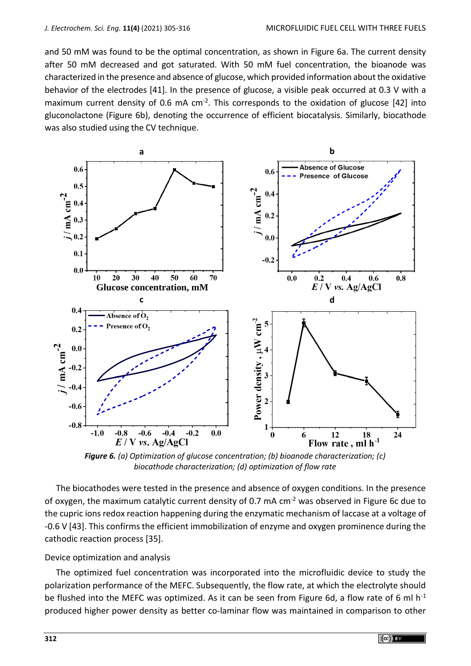and 50 mM was found to be the optimal concentration, as shown in Figure 6a. The current density after 50 mM decreased and got saturated. With 50 mM fuel concentration, the bioanode was characterized in the presence and absence of glucose, which provided information about the oxidative behavior of the electrodes [41]. In the presence of glucose, a visible peak occurred at 0.3 V with a maximum current density of 0.6 mA  $cm<sup>-2</sup>$ . This corresponds to the oxidation of glucose [42] into gluconolactone (Figure 6b), denoting the occurrence of efficient biocatalysis. Similarly, biocathode was also studied using the CV technique.



*Figure 6. (a) Optimization of glucose concentration; (b) bioanode characterization; (c) biocathode characterization; (d) optimization of flow rate*

The biocathodes were tested in the presence and absence of oxygen conditions. In the presence of oxygen, the maximum catalytic current density of 0.7 mA cm<sup>-2</sup> was observed in Figure 6c due to the cupric ions redox reaction happening during the enzymatic mechanism of laccase at a voltage of -0.6 V [43]. This confirms the efficient immobilization of enzyme and oxygen prominence during the cathodic reaction process [35].

## Device optimization and analysis

The optimized fuel concentration was incorporated into the microfluidic device to study the polarization performance of the MEFC. Subsequently, the flow rate, at which the electrolyte should be flushed into the MEFC was optimized. As it can be seen from Figure 6d, a flow rate of 6 ml  $h^{-1}$ produced higher power density as better co-laminar flow was maintained in comparison to other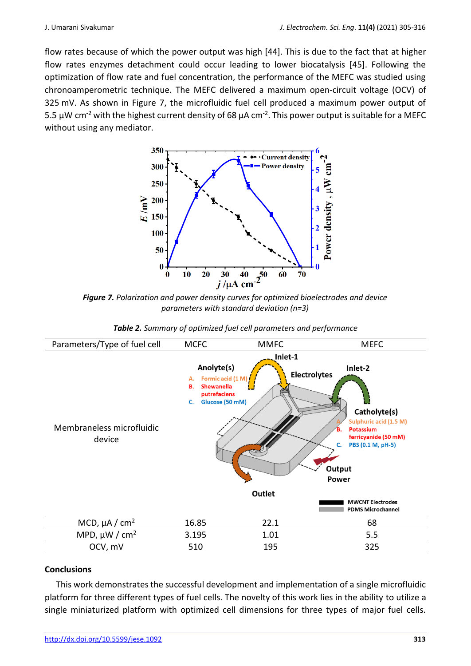flow rates because of which the power output was high [44]. This is due to the fact that at higher flow rates enzymes detachment could occur leading to lower biocatalysis [45]. Following the optimization of flow rate and fuel concentration, the performance of the MEFC was studied using chronoamperometric technique. The MEFC delivered a maximum open-circuit voltage (OCV) of 325 mV. As shown in Figure 7, the microfluidic fuel cell produced a maximum power output of 5.5 μW cm<sup>-2</sup> with the highest current density of 68 μA cm<sup>-2</sup>. This power output is suitable for a MEFC without using any mediator.



*Figure 7. Polarization and power density curves for optimized bioelectrodes and device parameters with standard deviation (n=3)*

| Table 2. Summary of optimized fuel cell parameters and performance |  |  |  |
|--------------------------------------------------------------------|--|--|--|
|--------------------------------------------------------------------|--|--|--|



## **Conclusions**

This work demonstrates the successful development and implementation of a single microfluidic platform for three different types of fuel cells. The novelty of this work lies in the ability to utilize a single miniaturized platform with optimized cell dimensions for three types of major fuel cells.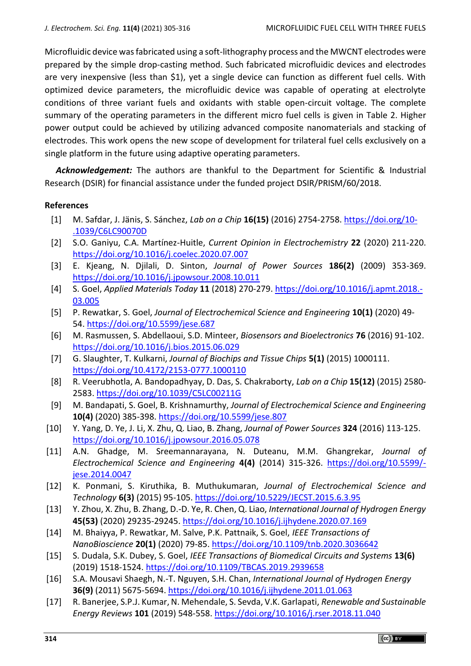Microfluidic device was fabricated using a soft-lithography process and the MWCNT electrodes were prepared by the simple drop-casting method. Such fabricated microfluidic devices and electrodes are very inexpensive (less than \$1), yet a single device can function as different fuel cells. With optimized device parameters, the microfluidic device was capable of operating at electrolyte conditions of three variant fuels and oxidants with stable open-circuit voltage. The complete summary of the operating parameters in the different micro fuel cells is given in Table 2. Higher power output could be achieved by utilizing advanced composite nanomaterials and stacking of electrodes. This work opens the new scope of development for trilateral fuel cells exclusively on a single platform in the future using adaptive operating parameters.

*Acknowledgement:* The authors are thankful to the Department for Scientific & Industrial Research (DSIR) for financial assistance under the funded project DSIR/PRISM/60/2018.

## **References**

- [1] M. Safdar, J. Jänis, S. Sánchez, *Lab on a Chip* **16(15)** (2016) 2754-2758. [https://doi.org/10-](https://pubs.rsc.org/en/content/articlelanding/2016/LC/C6LC90070D) [.1039/C6LC90070D](https://pubs.rsc.org/en/content/articlelanding/2016/LC/C6LC90070D)
- [2] S.O. Ganiyu, C.A. Martínez-Huitle, *Current Opinion in Electrochemistry* **22** (2020) 211-220. [https://doi.org/10.1016/j.coelec.2020.07.007](https://www.sciencedirect.com/science/article/pii/S2451910320301423?via%3Dihub)
- [3] E. Kjeang, N. Djilali, D. Sinton, *Journal of Power Sources* **186(2)** (2009) 353-369. [https://doi.org/10.1016/j.jpowsour.2008.10.011](https://www.sciencedirect.com/science/article/pii/S0378775308019186?via%3Dihub)
- [4] S. Goel, *Applied Materials Today* **11** (2018) 270-279. [https://doi.org/10.1016/j.apmt.2018.-](https://www.sciencedirect.com/science/article/abs/pii/S2352940718300659?via%3Dihub) [03.005](https://www.sciencedirect.com/science/article/abs/pii/S2352940718300659?via%3Dihub)
- [5] P. Rewatkar, S. Goel, *Journal of Electrochemical Science and Engineering* **10(1)** (2020) 49- 54.<https://doi.org/10.5599/jese.687>
- [6] M. Rasmussen, S. Abdellaoui, S.D. Minteer, *Biosensors and Bioelectronics* **76** (2016) 91-102. [https://doi.org/10.1016/j.bios.2015.06.029](https://www.sciencedirect.com/science/article/pii/S0956566315301974?via%3Dihub)
- [7] G. Slaughter, T. Kulkarni, *Journal of Biochips and Tissue Chips* **5(1)** (2015) 1000111. [https://doi.org/10.4172/2153-0777.1000110](https://www.omicsonline.org/open-access/enzymatic-glucose-biofuel-cell-and-its-application-2153-0777-1000110.php?aid=60361)
- [8] R. Veerubhotla, A. Bandopadhyay, D. Das, S. Chakraborty, *Lab on a Chip* **15(12)** (2015) 2580- 2583. [https://doi.org/10.1039/C5LC00211G](https://pubs.rsc.org/en/content/articlelanding/2015/LC/C5LC00211G)
- [9] M. Bandapati, S. Goel, B. Krishnamurthy, *Journal of Electrochemical Science and Engineering* **10(4)** (2020) 385-398.<https://doi.org/10.5599/jese.807>
- [10] Y. Yang, D. Ye, J. Li, X. Zhu, Q. Liao, B. Zhang, *Journal of Power Sources* **324** (2016) 113-125. [https://doi.org/10.1016/j.jpowsour.2016.05.078](https://www.sciencedirect.com/science/article/pii/S0378775316306322?via%3Dihub)
- [11] A.N. Ghadge, M. Sreemannarayana, N. Duteanu, M.M. Ghangrekar, *Journal of Electrochemical Science and Engineering* **4(4)** (2014) 315-326. [https://doi.org/10.5599/](https://doi.org/10.5599/jese.2014.0047) [jese.2014.0047](https://doi.org/10.5599/jese.2014.0047)
- [12] K. Ponmani, S. Kiruthika, B. Muthukumaran, *Journal of Electrochemical Science and Technology* **6(3)** (2015) 95-105.<https://doi.org/10.5229/JECST.2015.6.3.95>
- [13] Y. Zhou, X. Zhu, B. Zhang, D.-D. Ye, R. Chen, Q. Liao, *International Journal of Hydrogen Energy* **45(53)** (2020) 29235-29245. [https://doi.org/10.1016/j.ijhydene.2020.07.169](https://www.sciencedirect.com/science/article/pii/S0360319920327774?via%3Dihub)
- [14] M. Bhaiyya, P. Rewatkar, M. Salve, P.K. Pattnaik, S. Goel, *IEEE Transactions of NanoBioscience* **20(1)** (2020) 79-85. <https://doi.org/10.1109/tnb.2020.3036642>
- [15] S. Dudala, S.K. Dubey, S. Goel, *IEEE Transactions of Biomedical Circuits and Systems* **13(6)** (2019) 1518-1524. [https://doi.org/10.1109/TBCAS.2019.2939658](https://ieeexplore.ieee.org/document/8825505)
- [16] S.A. Mousavi Shaegh, N.-T. Nguyen, S.H. Chan, *International Journal of Hydrogen Energy* **36(9)** (2011) 5675-5694. [https://doi.org/10.1016/j.ijhydene.2011.01.063](https://www.sciencedirect.com/science/article/pii/S0360319911001066?via%3Dihub)
- [17] R. Banerjee, S.P.J. Kumar, N. Mehendale, S. Sevda, V.K. Garlapati, *Renewable and Sustainable Energy Reviews* **101** (2019) 548-558. [https://doi.org/10.1016/j.rser.2018.11.040](https://www.sciencedirect.com/science/article/abs/pii/S1364032118307949?via%3Dihub)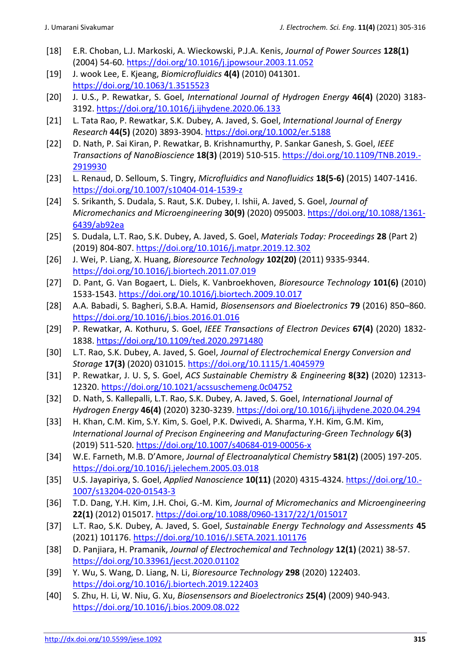- [18] E.R. Choban, L.J. Markoski, A. Wieckowski, P.J.A. Kenis, *Journal of Power Sources* **128(1)** (2004) 54-60. [https://doi.org/10.1016/j.jpowsour.2003.11.052](https://www.sciencedirect.com/science/article/pii/S0378775303011789?via%3Dihub)
- [19] J. wook Lee, E. Kjeang, *Biomicrofluidics* **4(4)** (2010) 041301. [https://doi.org/10.1063/1.3515523](https://aip.scitation.org/doi/10.1063/1.3515523)
- [20] J. U.S., P. Rewatkar, S. Goel, *International Journal of Hydrogen Energy* **46(4)** (2020) 3183- 3192. [https://doi.org/10.1016/j.ijhydene.2020.06.133](https://www.sciencedirect.com/science/article/pii/S0360319920322710?via%3Dihub)
- [21] L. Tata Rao, P. Rewatkar, S.K. Dubey, A. Javed, S. Goel, *International Journal of Energy Research* **44(5)** (2020) 3893-3904. [https://doi.org/10.1002/er.5188](https://onlinelibrary.wiley.com/doi/10.1002/er.5188)
- [22] D. Nath, P. Sai Kiran, P. Rewatkar, B. Krishnamurthy, P. Sankar Ganesh, S. Goel, *IEEE Transactions of NanoBioscience* **18(3)** (2019) 510-515. [https://doi.org/10.1109/TNB.2019.-](https://ieeexplore.ieee.org/document/8726412) [2919930](https://ieeexplore.ieee.org/document/8726412)
- [23] L. Renaud, D. Selloum, S. Tingry, *Microfluidics and Nanofluidics* **18(5-6)** (2015) 1407-1416. [https://doi.org/10.1007/s10404-014-1539-z](https://link.springer.com/article/10.1007%2Fs10404-014-1539-z)
- [24] S. Srikanth, S. Dudala, S. Raut, S.K. Dubey, I. Ishii, A. Javed, S. Goel, *Journal of Micromechanics and Microengineering* **30(9)** (2020) 095003. [https://doi.org/10.1088/1361-](https://iopscience.iop.org/article/10.1088/1361-6439/ab92ea) [6439/ab92ea](https://iopscience.iop.org/article/10.1088/1361-6439/ab92ea)
- [25] S. Dudala, L.T. Rao, S.K. Dubey, A. Javed, S. Goel, *Materials Today: Proceedings* **28** (Part 2) (2019) 804-807. [https://doi.org/10.1016/j.matpr.2019.12.302](https://www.sciencedirect.com/science/article/pii/S2214785319343329?via%3Dihub)
- [26] J. Wei, P. Liang, X. Huang, *Bioresource Technology* **102(20)** (2011) 9335-9344. [https://doi.org/10.1016/j.biortech.2011.07.019](https://www.sciencedirect.com/science/article/pii/S096085241100945X?via%3Dihub)
- [27] D. Pant, G. Van Bogaert, L. Diels, K. Vanbroekhoven, *Bioresource Technology* **101(6)** (2010) 1533-1543. [https://doi.org/10.1016/j.biortech.2009.10.017](https://www.sciencedirect.com/science/article/pii/S0960852409013595?via%3Dihub)
- [28] A.A. Babadi, S. Bagheri, S.B.A. Hamid, *Biosensensors and Bioelectronics* **79** (2016) 850–860. [https://doi.org/10.1016/j.bios.2016.01.016](https://www.sciencedirect.com/science/article/pii/S0956566316300161?via%3Dihub)
- [29] P. Rewatkar, A. Kothuru, S. Goel, *IEEE Transactions of Electron Devices* **67(4)** (2020) 1832- 1838.<https://doi.org/10.1109/ted.2020.2971480>
- [30] L.T. Rao, S.K. Dubey, A. Javed, S. Goel, *Journal of Electrochemical Energy Conversion and Storage* **17(3)** (2020) 031015.<https://doi.org/10.1115/1.4045979>
- [31] P. Rewatkar, J. U. S, S. Goel, *ACS Sustainable Chemistry & Engineering* **8(32)** (2020) 12313- 12320.<https://doi.org/10.1021/acssuschemeng.0c04752>
- [32] D. Nath, S. Kallepalli, L.T. Rao, S.K. Dubey, A. Javed, S. Goel, *International Journal of Hydrogen Energy* **46(4)** (2020) 3230-3239.<https://doi.org/10.1016/j.ijhydene.2020.04.294>
- [33] H. Khan, C.M. Kim, S.Y. Kim, S. Goel, P.K. Dwivedi, A. Sharma, Y.H. Kim, G.M. Kim, *International Journal of Precison Engineering and Manufacturing-Green Technology* **6(3)** (2019) 511-520.<https://doi.org/10.1007/s40684-019-00056-x>
- [34] W.E. Farneth, M.B. D'Amore, *Journal of Electroanalytical Chemistry* **581(2)** (2005) 197-205. <https://doi.org/10.1016/j.jelechem.2005.03.018>
- [35] U.S. Jayapiriya, S. Goel, *Applied Nanoscience* **10(11)** (2020) 4315-4324[. https://doi.org/10.-](https://doi.org/10.1007/s13204-020-01543-3) [1007/s13204-020-01543-3](https://doi.org/10.1007/s13204-020-01543-3)
- [36] T.D. Dang, Y.H. Kim, J.H. Choi, G.-M. Kim, *Journal of Micromechanics and Microengineering* **22(1)** (2012) 015017.<https://doi.org/10.1088/0960-1317/22/1/015017>
- [37] L.T. Rao, S.K. Dubey, A. Javed, S. Goel, *Sustainable Energy Technology and Assessments* **45** (2021) 101176.<https://doi.org/10.1016/J.SETA.2021.101176>
- [38] D. Panjiara, H. Pramanik, *Journal of Electrochemical and Technology* **12(1)** (2021) 38-57. <https://doi.org/10.33961/jecst.2020.01102>
- [39] Y. Wu, S. Wang, D. Liang, N. Li, *Bioresource Technology* **298** (2020) 122403. <https://doi.org/10.1016/j.biortech.2019.122403>
- [40] S. Zhu, H. Li, W. Niu, G. Xu, *Biosensensors and Bioelectronics* **25(4)** (2009) 940-943. <https://doi.org/10.1016/j.bios.2009.08.022>